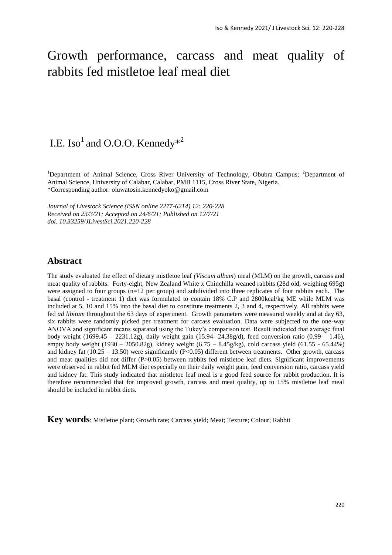# Growth performance, carcass and meat quality of rabbits fed mistletoe leaf meal diet

# I.E. Iso<sup>1</sup> and O.O.O. Kennedy\*<sup>2</sup>

<sup>1</sup>Department of Animal Science, Cross River University of Technology, Obubra Campus; <sup>2</sup>Department of Animal Science, University of Calabar, Calabar, PMB 1115, Cross River State, Nigeria. \*Corresponding author: [oluwatosin.kennedyoko@gmail.com](mailto:oluwatosin.kennedyoko@gmail.com)

*Journal of Livestock Science (ISSN online 2277-6214) 12: 220-228 Received on 23/3/21; Accepted on 24/6/21; Published on 12/7/21 doi. 10.33259/JLivestSci.2021.220-228*

# **Abstract**

The study evaluated the effect of dietary mistletoe leaf *(Viscum album*) meal (MLM) on the growth, carcass and meat quality of rabbits. Forty-eight, New Zealand White x Chinchilla weaned rabbits (28d old, weighing 695g) were assigned to four groups (n=12 per group) and subdivided into three replicates of four rabbits each. The basal (control - treatment 1) diet was formulated to contain 18% C.P and 2800kcal/kg ME while MLM was included at 5, 10 and 15% into the basal diet to constitute treatments 2, 3 and 4, respectively. All rabbits were fed *ad libitum* throughout the 63 days of experiment. Growth parameters were measured weekly and at day 63, six rabbits were randomly picked per treatment for carcass evaluation. Data were subjected to the one-way ANOVA and significant means separated using the Tukey's comparison test. Result indicated that average final body weight (1699.45 – 2231.12g), daily weight gain (15.94- 24.38g/d), feed conversion ratio (0.99 – 1.46), empty body weight (1930 – 2050.82g), kidney weight (6.75 – 8.45g/kg), cold carcass yield (61.55 - 65.44%) and kidney fat (10.25 – 13.50) were significantly (P<0.05) different between treatments. Other growth, carcass and meat qualities did not differ (P>0.05) between rabbits fed mistletoe leaf diets. Significant improvements were observed in rabbit fed MLM diet especially on their daily weight gain, feed conversion ratio, carcass yield and kidney fat. This study indicated that mistletoe leaf meal is a good feed source for rabbit production. It is therefore recommended that for improved growth, carcass and meat quality, up to 15% mistletoe leaf meal should be included in rabbit diets.

**Key words**: Mistletoe plant; Growth rate; Carcass yield; Meat; Texture; Colour; Rabbit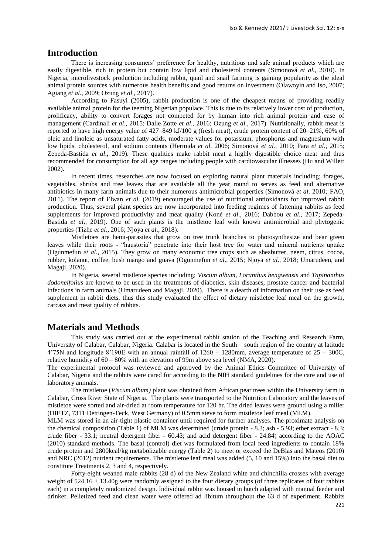# **Introduction**

There is increasing consumers' preference for healthy, nutritious and safe animal products which are easily digestible, rich in protein but contain low lipid and cholesterol contents (Simonová *et al.,* 2010). In Nigeria, microlivestock production including rabbit, quail and snail farming is gaining popularity as the ideal animal protein sources with numerous health benefits and good returns on investment (Olawoyin and Iso, 2007; Agiang *et al*., 2009; Ozung *et al*., 2017).

According to Fasuyi (2005), rabbit production is one of the cheapest means of providing readily available animal protein for the teeming Nigerian populace. This is due to its relatively lower cost of production, prolificacy, ability to convert forages not competed for by human into rich animal protein and ease of management (Cardinali *et al*., 2015; Dalle Zotte *et al*., 2016; Ozung *et al*., 2017). Nutritionally, rabbit meat is reported to have high energy value of 427–849 kJ/100 g (fresh meat), crude protein content of 20–21%, 60% of oleic and linoleic as unsaturated fatty acids, moderate values for potassium, phosphorus and magnesium with low lipids, cholesterol, and sodium contents (Hermida *et al*. 2006; Simonová *et al.,* 2010; Para *et al*., 2015; Zepeda-Bastida *et al*., 2019). These qualities make rabbit meat a highly digestible choice meat and thus recommended for consumption for all age ranges including people with cardiovascular illnesses (Hu and Willett 2002).

In recent times, researches are now focused on exploring natural plant materials including; forages, vegetables, shrubs and tree leaves that are available all the year round to serves as feed and alternative antibiotics in many farm animals due to their numerous antimicrobial properties (Simonová *et al*. 2010*;* FAO, 2011). The report of Elwan *et al*. (2019) encouraged the use of nutritional antioxidants for improved rabbit production. Thus, several plant species are now incorporated into feeding regimes of fattening rabbits as feed supplements for improved productivity and meat quality (Koné *et al*., 2016; Dabbou *et al*., 2017; Zepeda-Bastida *et al*., 2019). One of such plants is the mistletoe leaf with known antimicrobial and phytogenic properties (Tizhe *et al*., 2016; Njoya *et al*., 2018).

Mistletoes are hemi-parasites that grow on tree trunk branches to photosynthesize and bear green leaves while their roots - "haustoria" penetrate into their host tree for water and mineral nutrients uptake (Ogunmefun *et al*., 2015). They grow on many economic tree crops such as sheabutter, neem, citrus, cocoa, rubber, kolanut, coffee, bush mango and guava (Ogunmefun *et al*., 2015; Njoya *et al*., 2018; Umarudeen, and Magaji, 2020).

In Nigeria, several mistletoe species including; *Viscum album, Loranthus bengwensis* and *Tapinanthus dodoneifolius* are known to be used in the treatments of diabetics, skin diseases, prostate cancer and bacterial infections in farm animals (Umarudeen and Magaji, 2020). There is a dearth of information on their use as feed supplement in rabbit diets, thus this study evaluated the effect of dietary mistletoe leaf meal on the growth, carcass and meat quality of rabbits.

# **Materials and Methods**

This study was carried out at the experimental rabbit station of the Teaching and Research Farm, University of Calabar, Calabar, Nigeria. Calabar is located in the South – south region of the country at latitude 4'75N and longitude 8'190E with an annual rainfall of 1260 – 1280mm, average temperature of 25 – 300C, relative humidity of 60 – 80% with an elevation of 99m above sea level (NMA, 2020).

The experimental protocol was reviewed and approved by the Animal Ethics Committee of University of Calabar, Nigeria and the rabbits were cared for according to the NIH standard guidelines for the care and use of laboratory animals.

The mistletoe (*Viscum album)* plant was obtained from African pear trees within the University farm in Calabar, Cross River State of Nigeria. The plants were transported to the Nutrition Laboratory and the leaves of mistletoe were sorted and air-dried at room temperature for 120 hr. The dried leaves were ground using a miller (DIETZ, 7311 Dettingen-Teck, West Germany) of 0.5mm sieve to form mistletoe leaf meal (MLM).

MLM was stored in an air-tight plastic container until required for further analyses. The proximate analysis on the chemical composition (Table 1) of MLM was determined (crude protein - 8.3; ash - 5.93; ether extract - 8.3; crude fiber - 33.1; neutral detergent fiber - 60.43; and acid detergent fiber - 24.84) according to the AOAC (2010) standard methods. The basal (control) diet was formulated from local feed ingredients to contain 18% crude protein and 2800kcal/kg metabolizable energy (Table 2) to meet or exceed the DeBlas and Mateos (2010) and NRC (2012) nutrient requirements. The mistletoe leaf meal was added (5, 10 and 15%) into the basal diet to constitute Treatments 2, 3 and 4, respectively.

Forty-eight weaned male rabbits (28 d) of the New Zealand white and chinchilla crosses with average weight of  $524.16 + 13.40g$  were randomly assigned to the four dietary groups (of three replicates of four rabbits each) in a completely randomized design. Individual rabbit was housed in hutch adapted with manual feeder and drinker. Pelletized feed and clean water were offered ad libitum throughout the 63 d of experiment. Rabbits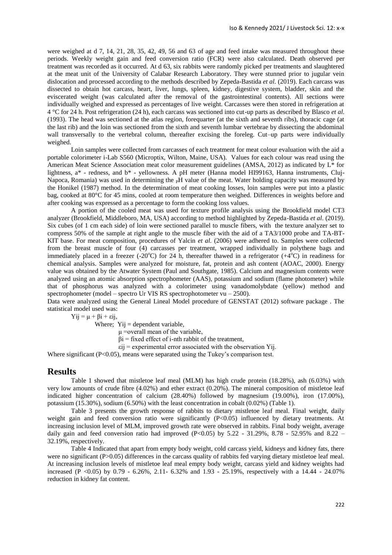were weighed at d 7, 14, 21, 28, 35, 42, 49, 56 and 63 of age and feed intake was measured throughout these periods. Weekly weight gain and feed conversion ratio (FCR) were also calculated. Death observed per treatment was recorded as it occurred. At d 63, six rabbits were randomly picked per treatments and slaughtered at the meat unit of the University of Calabar Research Laboratory. They were stunned prior to jugular vein dislocation and processed according to the methods described by Zepeda-Bastida *et al.* (2019). Each carcass was dissected to obtain hot carcass, heart, liver, lungs, spleen, kidney, digestive system, bladder, skin and the eviscerated weight (was calculated after the removal of the gastrointestinal contents). All sections were individually weighed and expressed as percentages of live weight. Carcasses were then stored in refrigeration at 4 °C for 24 h. Post refrigeration (24 h), each carcass was sectioned into cut-up parts as described by Blasco *et al.*  (1993). The head was sectioned at the atlas region, forequarter (at the sixth and seventh ribs), thoracic cage (at the last rib) and the loin was sectioned from the sixth and seventh lumbar vertebrae by dissecting the abdominal wall transversally to the vertebral column, thereafter excising the foreleg. Cut–up parts were individually weighed.

Loin samples were collected from carcasses of each treatment for meat colour evaluation with the aid a portable colorimeter i-Lab S560 (Microptix, Wilton, Maine, USA). Values for each colour was read using the American Meat Science Association meat color measurement guidelines (AMSA, 2012) as indicated by L\* for lightness, a\* - redness, and b\* - yellowness. A pH meter (Hanna model HI99163, Hanna instruments, Cluj-Napoca, Romania) was used in determining the  $\,$ PH value of the meat. Water holding capacity was measured by the Honikel (1987) method. In the determination of meat cooking losses, loin samples were put into a plastic bag, cooked at 80°C for 45 mins, cooled at room temperature then weighed. Differences in weights before and after cooking was expressed as a percentage to form the cooking loss values.

A portion of the cooled meat was used for texture profile analysis using the Brookfield model CT3 analyzer (Brookfield, Middleboro, MA, USA) according to method highlighted by Zepeda-Bastida *et al*. (2019). Six cubes (of 1 cm each side) of loin were sectioned parallel to muscle fibers, with the texture analyzer set to compress 50% of the sample at right angle to the muscle fiber with the aid of a TA3/1000 probe and TA-BT-KIT base. For meat composition, procedures of Yalcin *et al.* (2006) were adhered to. Samples were collected from the breast muscle of four (4) carcasses per treatment, wrapped individually in polythene bags and immediately placed in a freezer (-20 $^{\circ}$ C) for 24 h, thereafter thawed in a refrigerator (+4 $^{\circ}$ C) in readiness for chemical analysis. Samples were analyzed for moisture, fat, protein and ash content (AOAC, 2000). Energy value was obtained by the Atwater System (Paul and Southgate, 1985). Calcium and magnesium contents were analyzed using an atomic absorption spectrophometer (AAS), potassium and sodium (flame photometer) while that of phosphorus was analyzed with a colorimeter using vanadomolybdate (yellow) method and spectrophometer (model – spectro Ur VIS RS spectrophotometer vu – 2500).

Data were analyzed using the General Lineal Model procedure of GENSTAT (2012) software package . The statistical model used was:

 $Yii = \mu + \beta i + \varepsilon ii$ ,

Where;  $Yij =$  dependent variable,

μ =overall mean of the variable,

 $\beta$ i = fixed effect of i-nth rabbit of the treatment,

 $\epsilon$ ij = experimental error associated with the observation Yij.

Where significant (P<0.05), means were separated using the Tukey's comparison test.

#### **Results**

Table 1 showed that mistletoe leaf meal (MLM) has high crude protein (18.28%), ash (6.03%) with very low amounts of crude fibre (4.02%) and ether extract (0.20%). The mineral composition of mistletoe leaf indicated higher concentration of calcium (28.40%) followed by magnesium (19.00%), iron (17.00%), potassium (15.30%), sodium (6.50%) with the least concentration in cobalt (0.02%) (Table 1).

Table 3 presents the growth response of rabbits to dietary mistletoe leaf meal. Final weight, daily weight gain and feed conversion ratio were significantly (P<0.05) influenced by dietary treatments. At increasing inclusion level of MLM, improved growth rate were observed in rabbits. Final body weight, average daily gain and feed conversion ratio had improved (P<0.05) by  $5.22 - 31.29\%$ ,  $8.78 - 52.95\%$  and  $8.22 -$ 32.19%, respectively.

Table 4 Indicated that apart from empty body weight, cold carcass yield, kidneys and kidney fats, there were no significant (P>0.05) differences in the carcass quality of rabbits fed varying dietary mistletoe leaf meal. At increasing inclusion levels of mistletoe leaf meal empty body weight, carcass yield and kidney weights had increased (P <0.05) by 0.79 - 6.26%, 2.11- 6.32% and 1.93 - 25.19%, respectively with a 14.44 - 24.07% reduction in kidney fat content.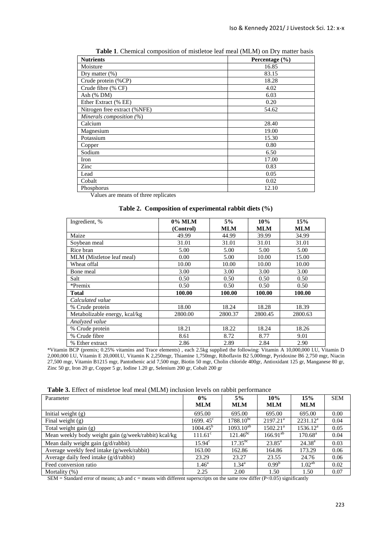| <b>Nutrients</b>             | Percentage $(\% )$ |
|------------------------------|--------------------|
| Moisture                     | 16.85              |
| Dry matter $(\%)$            | 83.15              |
| Crude protein (%CP)          | 18.28              |
| Crude fibre (% CF)           | 4.02               |
| Ash (% DM)                   | 6.03               |
| Ether Extract (% EE)         | 0.20               |
| Nitrogen free extract (%NFE) | 54.62              |
| Minerals composition (%)     |                    |
| Calcium                      | 28.40              |
| Magnesium                    | 19.00              |
| Potassium                    | 15.30              |
| Copper                       | 0.80               |
| Sodium                       | 6.50               |
| Iron                         | 17.00              |
| Zinc                         | 0.83               |
| Lead                         | 0.05               |
| Cobalt                       | 0.02               |
| Phosphorus                   | 12.10              |

**Table 1**. Chemical composition of mistletoe leaf meal (MLM) on Dry matter basis

Values are means of three replicates

|  |  |  | Table 2. Composition of experimental rabbit diets (%) |
|--|--|--|-------------------------------------------------------|
|--|--|--|-------------------------------------------------------|

| Ingredient, %                 | 0% MLM    | 5%         | 10%        | 15%        |
|-------------------------------|-----------|------------|------------|------------|
|                               | (Control) | <b>MLM</b> | <b>MLM</b> | <b>MLM</b> |
| Maize                         | 49.99     | 44.99      | 39.99      | 34.99      |
| Soybean meal                  | 31.01     | 31.01      | 31.01      | 31.01      |
| Rice bran                     | 5.00      | 5.00       | 5.00       | 5.00       |
| MLM (Mistletoe leaf meal)     | 0.00      | 5.00       | 10.00      | 15.00      |
| Wheat offal                   | 10.00     | 10.00      | 10.00      | 10.00      |
| Bone meal                     | 3.00      | 3.00       | 3.00       | 3.00       |
| Salt                          | 0.50      | 0.50       | 0.50       | 0.50       |
| *Premix                       | 0.50      | 0.50       | 0.50       | 0.50       |
| <b>Total</b>                  | 100.00    | 100.00     | 100.00     | 100.00     |
| Calculated value              |           |            |            |            |
| % Crude protein               | 18.00     | 18.24      | 18.28      | 18.39      |
| Metabolizable energy, kcal/kg | 2800.00   | 2800.37    | 2800.45    | 2800.63    |
| Analyzed value                |           |            |            |            |
| % Crude protein               | 18.21     | 18.22      | 18.24      | 18.26      |
| % Crude fibre                 | 8.61      | 8.72       | 8.77       | 9.01       |
| % Ether extract               | 2.86      | 2.89       | 2.84       | 2.90       |

\*Vitamin BCP (premix; 0.25% vitamins and Trace elements) , each 2.5kg supplied the following: Vitamin A 10,000,000 I.U, Vitamin D 2,000,000 I.U, Vitamin E 20,000I.U, Vitamin K 2,250mgr, Thiamine 1,750mgr, Riboflavin B2 5,000mgr, Pyridoxine B6 2,750 mgr, Niacin 27,500 mgr, Vitamin B1215 mgr, Pantothenic acid 7,500 mgr, Biotin 50 mgr, Cholin chloride 400gr, Antioxidant 125 gr, Manganese 80 gr, Zinc 50 gr, Iron 20 gr, Copper 5 gr, Iodine 1.20 gr, Selenium 200 gr, Cobalt 200 gr

**Table 3.** Effect of mistletoe leaf meal (MLM) inclusion levels on rabbit performance

| Parameter                                            | $0\%$             | 5%             | 10%                  | 15%                 | <b>SEM</b> |
|------------------------------------------------------|-------------------|----------------|----------------------|---------------------|------------|
|                                                      | <b>MLM</b>        | <b>MLM</b>     | <b>MLM</b>           | <b>MLM</b>          |            |
| Initial weight $(g)$                                 | 695.00            | 695.00         | 695.00               | 695.00              | 0.00       |
| Final weight $(g)$                                   | $1699.45^{\circ}$ | $1788.10^{bc}$ | $2197.21^a$          | $2231.12^a$         | 0.04       |
| Total weight gain (g)                                | $1004.45^{\rm b}$ | $1093.10^{ab}$ | 1502.21 <sup>a</sup> | $1536.12^a$         | 0.05       |
| Mean weekly body weight gain (g/week/rabbit) kcal/kg | $111.61^{\circ}$  | $121.46^{bc}$  | $166.91^{ab}$        | $170.68^{\text{a}}$ | 0.04       |
| Mean daily weight gain (g/d/rabbit)                  | $15.94^{\circ}$   | $17.35^{bc}$   | $23.85^{\rm a}$      | $24.38^{a}$         | 0.03       |
| Average weekly feed intake (g/week/rabbit)           | 163.00            | 162.86         | 164.86               | 173.29              | 0.06       |
| Average daily feed intake (g/d/rabbit)               | 23.29             | 23.27          | 23.55                | 24.76               | 0.06       |
| Feed conversion ratio                                | $1.46^{\rm a}$    | $1.34^{\rm a}$ | 0.99 <sup>b</sup>    | $1.02^{ab}$         | 0.02       |
| Mortality (%)                                        | 2.25              | 2.00           | 1.50                 | 1.50                | 0.07       |

SEM = Standard error of means; a,b and c = means with different superscripts on the same row differ  $(P<0.05)$  significantly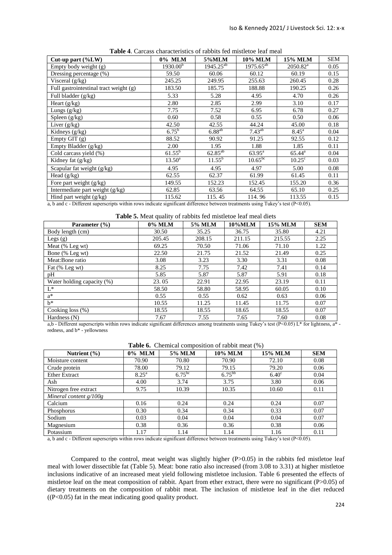| Cut-up part $(\%LW)$                   | 0% MLM               | 5%MLM          | 10% MLM         | <b>15% MLM</b>  | <b>SEM</b> |
|----------------------------------------|----------------------|----------------|-----------------|-----------------|------------|
| Empty body weight $(g)$                | 1930.00 <sup>b</sup> | $1945.25^{ab}$ | $1975.65^{ab}$  | $2050.82^a$     | 0.05       |
| Dressing percentage (%)                | 59.50                | 60.06          | 60.12           | 60.19           | 0.15       |
| Visceral $(g/kg)$                      | 245.25               | 249.95         | 255.63          | 260.45          | 0.28       |
| Full gastrointestinal tract weight (g) | 183.50               | 185.75         | 188.88          | 190.25          | 0.26       |
| Full bladder (g/kg)                    | 5.33                 | 5.28           | 4.95            | 4.70            | 0.26       |
| Heart $(g/kg)$                         | 2.80                 | 2.85           | 2.99            | 3.10            | 0.17       |
| Lungs $(g/kg)$                         | 7.75                 | 7.52           | 6.95            | 6.78            | 0.27       |
| Spleen $(g/kg)$                        | 0.60                 | 0.58           | 0.55            | 0.50            | 0.06       |
| Liver $(g/kg)$                         | 42.50                | 42.55          | 44.24           | 45.00           | 0.18       |
| Kidneys (g/kg)                         | $6.75^{\rm b}$       | $6.88^{ab}$    | $7.43^{ab}$     | $8.45^{\rm a}$  | 0.04       |
| Empty GIT $(g)$                        | 88.52                | 90.92          | 91.25           | 92.55           | 0.12       |
| Empty Bladder (g/kg)                   | 2.00                 | 1.95           | 1.88            | 1.85            | 0.11       |
| Cold carcass yield (%)                 | $61.55^{b}$          | $62.85^{ab}$   | $63.95^{\rm a}$ | $65.44^{\rm a}$ | 0.04       |
| Kidney fat (g/kg)                      | $13.50^{\circ}$      | $11.55^{b}$    | $10.65^{bc}$    | $10.25^{\circ}$ | 0.03       |
| Scapular fat weight $(g/kg)$           | 4.95                 | 4.95           | 4.97            | 5.00            | 0.08       |
| Head $(g/kg)$                          | 62.55                | 62.37          | 61.99           | 61.45           | 0.11       |
| Fore part weight $(g/kg)$              | 149.55               | 152.23         | 152.45          | 155.20          | 0.36       |
| Intermediate part weight (g/kg)        | 62.85                | 63.56          | 64.55           | 65.10           | 0.25       |
| Hind part weight $(g/kg)$              | 115.62               | 115.45         | 114.96          | 113.55          | 0.15       |

**Table 4**. Carcass characteristics of rabbits fed mistletoe leaf meal

a, b and c - Different superscripts within rows indicate significant difference between treatments using Tukey's test (P<0.05).

**Table 5.** Meat quality of rabbits fed mistletoe leaf meal diets

| Parameter (%)              | 0% MLM | 5% MLM | 10%MLM | <b>15% MLM</b> | <b>SEM</b> |
|----------------------------|--------|--------|--------|----------------|------------|
| Body length (cm)           | 30.50  | 35.25  | 36.75  | 35.80          | 4.21       |
| Legs $(g)$                 | 205.45 | 208.15 | 211.15 | 215.55         | 2.25       |
| Meat $(\%$ Leg wt)         | 69.25  | 70.50  | 71.06  | 71.10          | 1.22       |
| Bone (% Leg wt)            | 22.50  | 21.75  | 21.52  | 21.49          | 0.25       |
| Meat:Bone ratio            | 3.08   | 3.23   | 3.30   | 3.31           | 0.08       |
| Fat (% Leg wt)             | 8.25   | 7.75   | 7.42   | 7.41           | 0.14       |
| pH                         | 5.85   | 5.87   | 5.87   | 5.91           | 0.18       |
| Water holding capacity (%) | 23.05  | 22.91  | 22.95  | 23.19          | 0.11       |
| $L^*$                      | 58.50  | 58.80  | 58.95  | 60.05          | 0.10       |
| $a^*$                      | 0.55   | 0.55   | 0.62   | 0.63           | 0.06       |
| $h^*$                      | 10.55  | 11.25  | 11.45  | 11.75          | 0.07       |
| Cooking loss (%)           | 18.55  | 18.55  | 18.65  | 18.55          | 0.07       |
| Hardness (N)               | 7.67   | 7.55   | 7.65   | 7.60           | 0.08       |

a,b - Different superscripts within rows indicate significant differences among treatments using Tukey's test (P<0.05) L\* for lightness, a\* redness, and b\* - yellowness

|  |  |  | <b>Table 6.</b> Chemical composition of rabbit meat (%) |  |
|--|--|--|---------------------------------------------------------|--|
|--|--|--|---------------------------------------------------------|--|

| Nutrient $(\% )$         | 0% MLM         | 5% MLM      | <b>10% MLM</b> | 15% MLM      | <b>SEM</b> |
|--------------------------|----------------|-------------|----------------|--------------|------------|
| Moisture content         | 70.90          | 70.80       | 70.90          | 72.10        | 0.08       |
| Crude protein            | 78.00          | 79.12       | 79.15          | 79.20        | 0.06       |
| <b>Ether Extract</b>     | $8.25^{\rm a}$ | $6.75^{bc}$ | $6.75^{bb}$    | $6.40^\circ$ | 0.04       |
| Ash                      | 4.00           | 3.74        | 3.75           | 3.80         | 0.06       |
| Nitrogen free extract    | 9.75           | 10.39       | 10.35          | 10.60        | 0.11       |
| Mineral content $g/100g$ |                |             |                |              |            |
| Calcium                  | 0.16           | 0.24        | 0.24           | 0.24         | 0.07       |
| Phosphorus               | 0.30           | 0.34        | 0.34           | 0.33         | 0.07       |
| Sodium                   | 0.03           | 0.04        | 0.04           | 0.04         | 0.07       |
| Magnesium                | 0.38           | 0.36        | 0.36           | 0.38         | 0.06       |
| Potassium                | 1.17           | 1.14        | 1.14           | 1.16         | 0.11       |

a, b and c - Different superscripts within rows indicate significant difference between treatments using Tukey's test (P<0.05).

Compared to the control, meat weight was slightly higher  $(P>0.05)$  in the rabbits fed mistletoe leaf meal with lower dissectible fat (Table 5). Meat: bone ratio also increased (from 3.08 to 3.31) at higher mistletoe inclusions indicative of an increased meat yield following mistletoe inclusion. Table 6 presented the effects of mistletoe leaf on the meat composition of rabbit. Apart from ether extract, there were no significant (P>0.05) of dietary treatments on the composition of rabbit meat. The inclusion of mistletoe leaf in the diet reduced  $((P<0.05)$  fat in the meat indicating good quality product.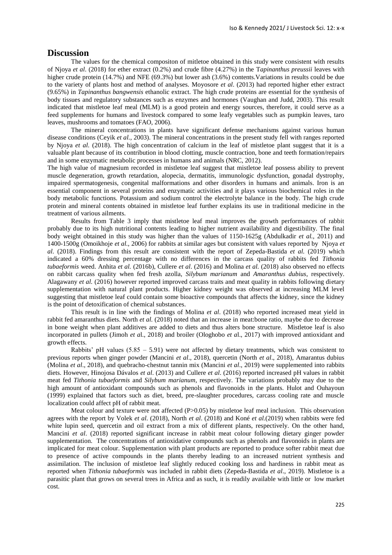## **Discussion**

The values for the chemical compositon of mitletoe obtained in this study were consistent with results of Njoya *et al*. (2018) for ether extract (0.2%) and crude fibre (4.27%) in the T*apinanthus preussii* leaves with higher crude protein (14.7%) and NFE (69.3%) but lower ash (3.6%) contents. Variations in results could be due to the variety of plants host and method of analyses. Moyosore *et al*. (2013) had reported higher ether extract (9.65%) in *Tapinanthus bangwensis* ethanolic extract. The high crude proteins are essential for the synthesis of body tissues and regulatory substances such as enzymes and hormones (Vaughan and Judd, 2003). This result indicated that mistletoe leaf meal (MLM) is a good protein and energy sources, therefore, it could serve as a feed supplements for humans and livestock compared to some leafy vegetables such as pumpkin leaves, taro leaves, mushrooms and tomatoes (FAO, 2006).

The mineral concentrations in plants have significant defense mechanisms against various human disease conditions (Ceyik *et al.,* 2003). The mineral concentrations in the present study fell with ranges reported by Njoya *et al*. (2018). The high concentration of calcium in the leaf of mistletoe plant suggest that it is a valuable plant because of its contribution in blood clotting, muscle contraction, bone and teeth formation/repairs and in some enzymatic metabolic processes in humans and animals (NRC, 2012).

The high value of magnesium recorded in mistletoe leaf suggest that mistletoe leaf possess ability to prevent muscle degeneration, growth retardation, alopecia, dermatitis, immunologic dysfunction, gonadal dystrophy, impaired spermatogenesis, congenital malformations and other disorders in humans and animals. Iron is an essential component in several proteins and enzymatic activities and it plays various biochemical roles in the body metabolic functions. Potassium and sodium control the electrolyte balance in the body. The high crude protein and mineral contents obtained in mistletoe leaf further explains its use in traditional medicine in the treatment of various ailments.

Results from Table 3 imply that mistletoe leaf meal improves the growth performances of rabbit probably due to its high nutritional contents leading to higher nutrient availability and digestibility. The final body weight obtained in this study was higher than the values of 1150-1625g (Abdulkadir *et al.,* 2011) and 1400-1500g (Omoikhoje *et al.,* 2006) for rabbits at similar ages but consistent with values reported by Njoya *et al*. (2018). Findings from this result are consistent with the report of Zepeda-Bastida *et al.* (2019) which indicated a 60% dressing percentage with no differences in the carcass quality of rabbits fed *Tithonia tubaeformis* weed. Anhita *et al.* (2016b), Cullere *et al*. (2016) and Molina *et al.* (2018) also observed no effects on rabbit carcass quality when fed fresh azolla, *Silybum marianum* and *Amaranthus dubius*, respectively. Alagawany *et al.* (2016) however reported improved carcass traits and meat quality in rabbits following dietary supplementation with natural plant products. Higher kidney weight was observed at increasing MLM level suggesting that mistletoe leaf could contain some bioactive compounds that affects the kidney, since the kidney is the point of detoxification of chemical substances.

This result is in line with the findings of Molina *et al*. (2018) who reported increased meat yield in rabbit fed amaranthus diets. North *et al.* (2018) noted that an increase in meat:bone ratio, maybe due to decrease in bone weight when plant additives are added to diets and thus alters bone structure. Mistletoe leaf is also incorporated in pullets (Jimoh *et a*l., 2018) and broiler (Ologhobo *et a*l., 2017) with improved antioxidant and growth effects.

Rabbits' pH values  $(5.85 - 5.91)$  were not affected by dietary treatments, which was consistent to previous reports when ginger powder (Mancini *et al*., 2018), quercetin (North *et al*., 2018), Amarantus dubius (Molina *et al*., 2018), and quebracho-chestnut tannin mix (Mancini *et al*., 2019) were supplemented into rabbits diets. However, Hinojosa Dávalos *et al*. (2013) and Cullere *et al*. (2016) reported increased pH values in rabbit meat fed *Tithonia tubaeformis* and *Silybum marianum*, respectively. The variations probably may due to the high amount of antioxidant compounds such as phenols and flavonoids in the plants. Hulot and Ouhayoun (1999) explained that factors such as diet, breed, pre-slaughter procedures, carcass cooling rate and muscle localization could affect pH of rabbit meat.

Meat colour and texture were not affected  $(P>0.05)$  by mistletoe leaf meal inclusion. This observation agrees with the report by Volek *et al*. (2018), North *et al*. (2018) and Koné *et al.*(2019) when rabbits were fed white lupin seed, quercetin and oil extract from a mix of different plants, respectively. On the other hand, Mancini *et al*. (2018) reported significant increase in rabbit meat colour following dietary ginger powder supplementation. The concentrations of antioxidative compounds such as phenols and flavonoids in plants are implicated for meat colour. Supplementation with plant products are reported to produce softer rabbit meat due to presence of active compounds in the plants thereby leading to an increased nutrient synthesis and assimilation. The inclusion of mistletoe leaf slightly reduced cooking loss and hardiness in rabbit meat as reported when *Tithonia tubaeformis* was included in rabbit diets (Zepeda-Bastida *et al*., 2019). Mistletoe is a parasitic plant that grows on several trees in Africa and as such, it is readily available with little or low market cost.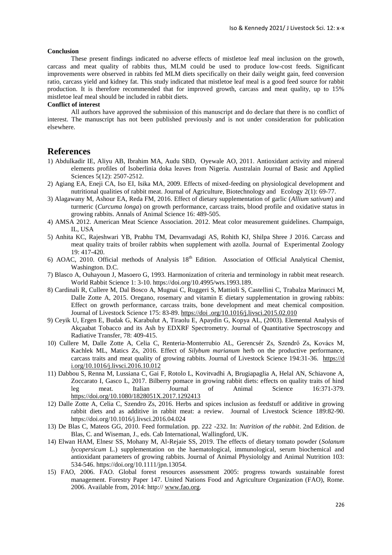#### **Conclusion**

These present findings indicated no adverse effects of mistletoe leaf meal inclusion on the growth, carcass and meat quality of rabbits thus, MLM could be used to produce low-cost feeds. Significant improvements were observed in rabbits fed MLM diets specifically on their daily weight gain, feed conversion ratio, carcass yield and kidney fat. This study indicated that mistletoe leaf meal is a good feed source for rabbit production. It is therefore recommended that for improved growth, carcass and meat quality, up to 15% mistletoe leaf meal should be included in rabbit diets.

#### **Conflict of interest**

All authors have approved the submission of this manuscript and do declare that there is no conflict of interest. The manuscript has not been published previously and is not under consideration for publication elsewhere.

## **References**

- 1) Abdulkadir IE, Aliyu AB, Ibrahim MA, Audu SBD, Oyewale AO, 2011. Antioxidant activity and mineral elements profiles of Isoberlinia doka leaves from Nigeria. Australain Journal of Basic and Applied Sciences 5(12): 2507-2512.
- 2) Agiang EA, Eneji CA, Iso EI, Isika MA, 2009. Effects of mixed-feeding on physiological development and nutritional qualities of rabbit meat. Journal of Agriculture, Biotechnology and Ecology 2(1): 69-77.
- 3) Alagawany M, Ashour EA, Reda FM, 2016. Effect of dietary supplementation of garlic (*Allium sativum*) and turmeric (*Curcuma longa*) on growth performance, carcass traits, blood profile and oxidative status in growing rabbits. Annals of Animal Science 16: 489-505.
- 4) AMSA 2012. American Meat Science Association. 2012. Meat color measurement guidelines. Champaign, IL, USA
- 5) Anhita KC, Rajeshwari YB, Prabhu TM, Devarnvadagi AS, Rohith KJ, Shilpa Shree J 2016. Carcass and meat quality traits of broiler rabbits when supplement with azolla. Journal of Experimental Zoology 19: 417-420.
- 6) AOAC, 2010. Official methods of Analysis 18<sup>th</sup> Edition. Association of Official Analytical Chemist, Washington. D.C.
- 7) Blasco A, Ouhayoun J, Masoero G, 1993. Harmonization of criteria and terminology in rabbit meat research. World Rabbit Science 1: 3-10. https://doi.org/10.4995/wrs.1993.189.
- 8) Cardinali R, Cullere M, Dal Bosco A, Mugnai C, Ruggeri S, Mattioli S, Castellini C, Trabalza Marinucci M, Dalle Zotte A, 2015. Oregano, rosemary and vitamin E dietary supplementation in growing rabbits: Effect on growth performance, carcass traits, bone development and meat chemical composition. Journal of Livestock Science 175: 83-89. https://doi .org/10.1016/j.livsci.2015.02.010
- 9) Ceyik U, Ergen E, Budak G, Karabulut A, Tiraolu E, Apaydin G, Kopya AL, (2003). Elemental Analysis of Akçaabat Tobacco and its Ash by EDXRF Spectrometry. Journal of Quantitative Spectroscopy and Radiative Transfer, 78: 409-415.
- 10) Cullere M, Dalle Zotte A, Celia C, Renteria-Monterrubio AL, Gerencsér Zs, Szendrő Zs, Kovács M, Kachlek ML, Matics Zs, 2016. Effect of *Silybum marianum* herb on the productive performance, carcass traits and meat quality of growing rabbits. Journal of Livestock Science 194:31-36. https://d i.org/10.1016/j.livsci.2016.10.012
- 11) Dabbou S, Renna M, Lussiana C, Gai F, Rotolo L, Kovitvadhi A, Brugiapaglia A, Helal AN, Schiavone A, Zoccarato I, Gasco L, 2017. Bilberry pomace in growing rabbit diets: effects on quality traits of hind leg meat. Italian Journal of Animal Science 16:371-379. <https://doi.org/10.1080/1828051X.2017.1292413>
- 12) Dalle Zotte A, Celia C, Szendro Zs, 2016. Herbs and spices inclusion as feedstuff or additive in growing rabbit diets and as additive in rabbit meat: a review. Journal of Livestock Science 189:82-90. https://doi.org/10.1016/j.livsci.2016.04.024
- 13) De Blas C, Mateos GG, 2010. Feed formulation. pp. 222 -232. In: *Nutrition of the rabbit*. 2nd Edition. de Blas, C. and Wiseman, J., eds. Cab International, Wallingford, UK.
- 14) Elwan HAM, Elnesr SS, Mohany M, Al-Rejaie SS, 2019. The effects of dietary tomato powder (*Solanum lycopersicum* L.) supplementation on the haematological, immunological, serum biochemical and antioxidant parameters of growing rabbits. Journal of Animal Physiololgy and Animal Nutrition 103: 534-546. https://doi.org/10.1111/jpn.13054.
- 15) FAO, 2006. FAO. Global forest resources assessment 2005: progress towards sustainable forest management. Forestry Paper 147. United Nations Food and Agriculture Organization (FAO), Rome. 2006. Available from, 2014: http:// [www.fao.org.](http://www.fao.org/)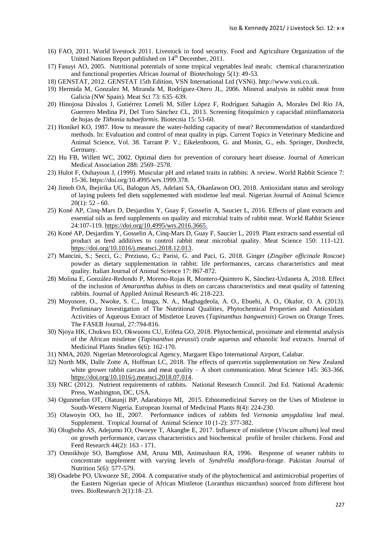- 16) FAO, 2011. World livestock 2011. Livestock in food security. Food and Agriculture Organization of the United Nations Report published on 14<sup>th</sup> December, 2011.
- 17) Fasuyi AO, 2005. Nutritional potentials of some tropical vegetables leaf meals: chemical characterization and functional properties African Journal of Biotechology 5(1): 49-53.
- 18) GENSTAT, 2012. GENSTAT 15th Edition, VSN International Ltd (VSNi). [http://www.vsni.co.uk.](http://www.vsni.co.uk/)
- 19) Hermida M, Gonzalez M, Miranda M, Rodríguez-Otero JL, 2006. Mineral analysis in rabbit meat from Galicia (NW Spain). Meat Sci 73: 635–639.
- 20) Hinojosa Dávalos J, Gutiérrez Lomelí M, Siller López F, Rodríguez Sahagún A, Morales Del Río JA, Guerrero Medina PJ, Del Toro Sánchez CL, 2013. Screening fitoquímico y capacidad ntiinflamatoria de hojas de *Tithonia tubaeformis*. Biotecnia 15: 53-60.
- 21) Honikel KO, 1987. How to measure the water-holding capacity of meat? Recommendation of standardized methods. In: Evaluation and control of meat quality in pigs. Current Topics in Veterinary Medicine and Animal Science, Vol. 38. Tarrant P. V.; Eikelenboom, G. and Monin, G., eds. Springer, Dordrecht, Germany.
- 22) Hu FB, Willett WC, 2002. Optimal diets for prevention of coronary heart disease. Journal of American Medical Association 288: 2569–2578.
- 23) Hulot F, Ouhayoun J, (1999). Muscular pH and related traits in rabbits: A review. World Rabbit Science 7: 15-36. https://doi.org/10.4995/wrs.1999.378.
- 24) Jimoh OA, Ihejirika UG, Balogun AS, Adelani SA, Okanlawon OO, 2018. Antioxidant status and serology of laying puleets fed diets supplemented with mistletoe leaf meal. Nigerian Journal of Animal Science  $20(1)$ : 52 - 60.
- 25) Koné AP, Cinq-Mars D, Desjardins Y, Guay F, Gosselin A, Saucier L, 2016. Effects of plant extracts and essential oils as feed supplements on quality and microbial traits of rabbit meat. World Rabbit Science 24:107-119.<https://doi.org/10.4995/wrs.2016.3665.>
- 26) Koné AP, Desjardins Y, Gosselin A, Cinq-Mars D, Guay F, Saucier L, 2019. Plant extracts sand essential oil product as feed additives to control rabbit meat microbial quality. Meat Science 150: 111-121. [https://doi.org/10.1016/j.meatsci.2018.12.013.](https://doi.org/10.1016/j.meatsci.2018.12.013)
- 27) Mancini, S.; Secci, G.; Preziuso, G.; Parisi, G. and Paci, G. 2018. Ginger (*Zingiber officinale* Roscoe) powder as dietary supplementation in rabbit: life performances, carcass characteristics and meat quality. Italian Journal of Animal Science 17: 867-872.
- 28) Molina E, González-Redondo P, Moreno-Rojas R, Montero-Quintero K, Sánchez-Urdaneta A, 2018. Effect of the inclusion of *Amaranthus dubius* in diets on carcass characteristics and meat quality of fattening rabbits. Journal of Applied Animal Research 46: 218-223.
- 29) Moyosore, O., Nwoke, S. C., Imaga, N. A., Magbagdeola, A. O., Ebuehi, A. O., Okafor, O. A. (2013). Preliminary Investigation of The Nutritional Qualities, Phytochemical Properties and Antioxidant Activities of Aqueous Extract of Mistletoe Leaves (*Tapinanthus bangwensis*) Grown on Orange Trees. The FASEB Journal, 27:794-816.
- 30) Njoya HK, Chukwu EO, Okwuonu CU, Erifeta GO, 2018. Phytochemical, proximate and elemental analysis of the African mistletoe (*Tapinanthus preussii*) crude aqueous and ethanolic leaf extracts. Journal of Medicinal Plants Studies 6(6): 162-170.
- 31) NMA, 2020. Nigerian Meteorological Agency, Margaret Ekpo International Airport, Calabar.
- 32) North MK, Dalle Zotte A, Hoffman LC, 2018. The effects of quercetin supplementation on New Zealand white grower rabbit carcass and meat quality – A short communication. Meat Science 145: 363-366. [https://doi.org/10.1016/j.meatsci.2018.07.014.](https://doi.org/10.1016/j.meatsci.2018.07.014)
- 33) NRC (2012). Nutrient requirements of rabbits. National Research Council. 2nd Ed. National Academic Press, Washington, DC, USA.
- 34) Ogunmefun OT, Olatunji BP, Adarabioyo MI, 2015. Ethnomedicinal Survey on the Uses of Mistletoe in South-Western Nigeria. European Journal of Medicinal Plants 8(4): 224-230.
- 35) Olawoyin OO, Iso IE, 2007. Performance indices of rabbits fed *Vernonia amygdalina* leaf meal. Supplement. Tropical Journal of Animal Science 10 (1-2): 377-382.
- 36) Ologboho AS, Adejumo IO, Owoeye T, Akangbe E, 2017. Influence of mistletoe (*Viscum album*) leaf meal on growth performance, carcass characteristics and biochemical profile of broiler chickens. Food and Feed Research 44(2): 163 - 171.
- 37) Omoikhoje SO, Bamgbose AM, Aruna MB, Animashaun RA, 1996. Response of weaner rabbits to concentrate supplement with varying levels of *Syndrella modiflora-*forage. Pakistan Journal of Nutrition 5(6): 577-579.
- 38) Osadebe PO, Ukwueze SE, 2004. A comparative study of the phytochemical and antimicrobial properties of the Eastern Nigerian specie of African Mistletoe (Loranthus micranthus) sourced from different host trees. BioResearch 2(1):18–23.